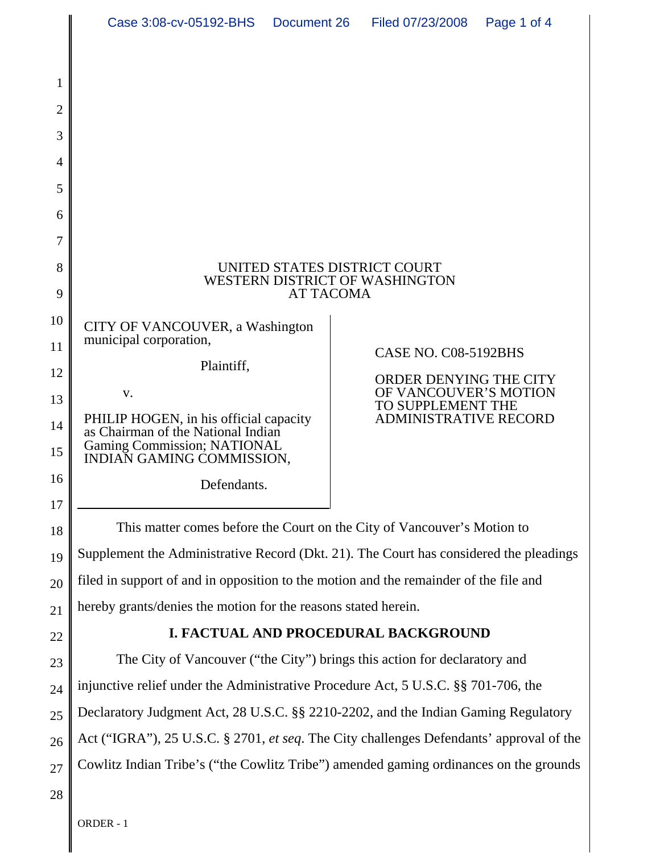| Case 3:08-cv-05192-BHS Document 26 |  | Filed 07/23/2008  Page 1 of 4 |  |
|------------------------------------|--|-------------------------------|--|
|------------------------------------|--|-------------------------------|--|

| 1              |                                                                                                                                          |                                                   |  |  |
|----------------|------------------------------------------------------------------------------------------------------------------------------------------|---------------------------------------------------|--|--|
| $\overline{2}$ |                                                                                                                                          |                                                   |  |  |
| 3              |                                                                                                                                          |                                                   |  |  |
| 4              |                                                                                                                                          |                                                   |  |  |
| 5              |                                                                                                                                          |                                                   |  |  |
| 6              |                                                                                                                                          |                                                   |  |  |
| 7              |                                                                                                                                          |                                                   |  |  |
| 8<br>9         | UNITED STATES DISTRICT COURT<br>WESTERN DISTRICT OF WASHINGTON<br><b>AT TACOMA</b>                                                       |                                                   |  |  |
| 10<br>11       | CITY OF VANCOUVER, a Washington<br>municipal corporation,<br>Plaintiff,                                                                  | CASE NO. C08-5192BHS                              |  |  |
| 12             | V.                                                                                                                                       | ORDER DENYING THE CITY<br>OF VANCOUVER'S MOTION   |  |  |
| 13<br>14<br>15 | PHILIP HOGEN, in his official capacity<br>as Chairman of the National Indian<br>Gaming Commission; NATIONAL<br>INDIAN GAMING COMMISSION, | TO SUPPLEMENT THE<br><b>ADMINISTRATIVE RECORD</b> |  |  |
| 16<br>17       | Defendants.                                                                                                                              |                                                   |  |  |
| 18             | This matter comes before the Court on the City of Vancouver's Motion to                                                                  |                                                   |  |  |
| 19             | Supplement the Administrative Record (Dkt. 21). The Court has considered the pleadings                                                   |                                                   |  |  |
| 20             | filed in support of and in opposition to the motion and the remainder of the file and                                                    |                                                   |  |  |
| 21             | hereby grants/denies the motion for the reasons stated herein.                                                                           |                                                   |  |  |
| 22             | I. FACTUAL AND PROCEDURAL BACKGROUND                                                                                                     |                                                   |  |  |
| 23             | The City of Vancouver ("the City") brings this action for declaratory and                                                                |                                                   |  |  |
| 24             | injunctive relief under the Administrative Procedure Act, 5 U.S.C. §§ 701-706, the                                                       |                                                   |  |  |
| 25             | Declaratory Judgment Act, 28 U.S.C. §§ 2210-2202, and the Indian Gaming Regulatory                                                       |                                                   |  |  |
| 26             | Act ("IGRA"), 25 U.S.C. § 2701, et seq. The City challenges Defendants' approval of the                                                  |                                                   |  |  |
| 27             | Cowlitz Indian Tribe's ("the Cowlitz Tribe") amended gaming ordinances on the grounds                                                    |                                                   |  |  |
|                |                                                                                                                                          |                                                   |  |  |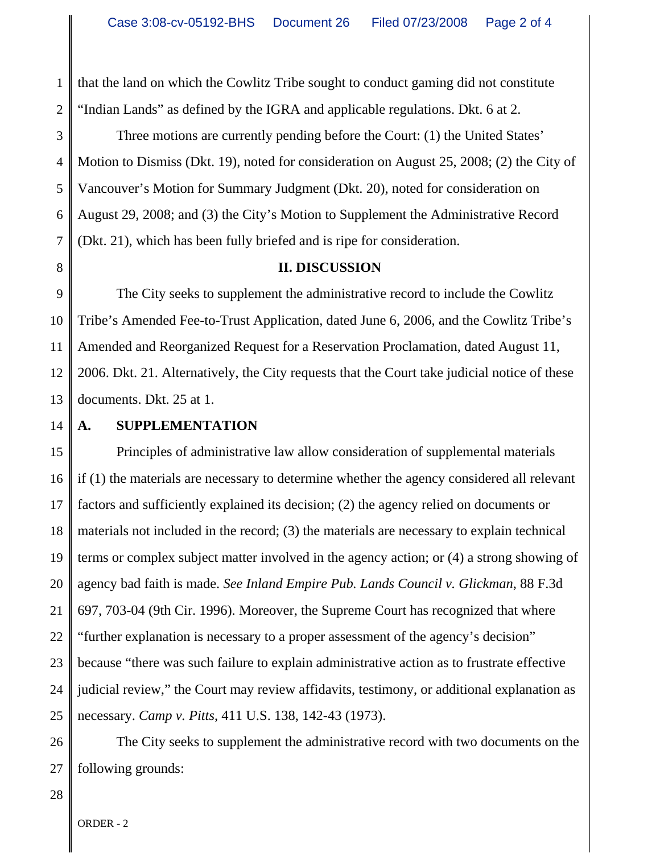1 2 that the land on which the Cowlitz Tribe sought to conduct gaming did not constitute "Indian Lands" as defined by the IGRA and applicable regulations. Dkt. 6 at 2.

3 4 5 6 7 Three motions are currently pending before the Court: (1) the United States' Motion to Dismiss (Dkt. 19), noted for consideration on August 25, 2008; (2) the City of Vancouver's Motion for Summary Judgment (Dkt. 20), noted for consideration on August 29, 2008; and (3) the City's Motion to Supplement the Administrative Record (Dkt. 21), which has been fully briefed and is ripe for consideration.

8

## **II. DISCUSSION**

9 10 11 12 13 The City seeks to supplement the administrative record to include the Cowlitz Tribe's Amended Fee-to-Trust Application, dated June 6, 2006, and the Cowlitz Tribe's Amended and Reorganized Request for a Reservation Proclamation, dated August 11, 2006. Dkt. 21. Alternatively, the City requests that the Court take judicial notice of these documents. Dkt. 25 at 1.

14

## **A. SUPPLEMENTATION**

15 16 17 18 19 20 21 22 23 24 25 Principles of administrative law allow consideration of supplemental materials if (1) the materials are necessary to determine whether the agency considered all relevant factors and sufficiently explained its decision; (2) the agency relied on documents or materials not included in the record; (3) the materials are necessary to explain technical terms or complex subject matter involved in the agency action; or (4) a strong showing of agency bad faith is made. *See Inland Empire Pub. Lands Council v. Glickman*, 88 F.3d 697, 703-04 (9th Cir. 1996). Moreover, the Supreme Court has recognized that where "further explanation is necessary to a proper assessment of the agency's decision" because "there was such failure to explain administrative action as to frustrate effective judicial review," the Court may review affidavits, testimony, or additional explanation as necessary. *Camp v. Pitts*, 411 U.S. 138, 142-43 (1973).

26 27 The City seeks to supplement the administrative record with two documents on the following grounds:

28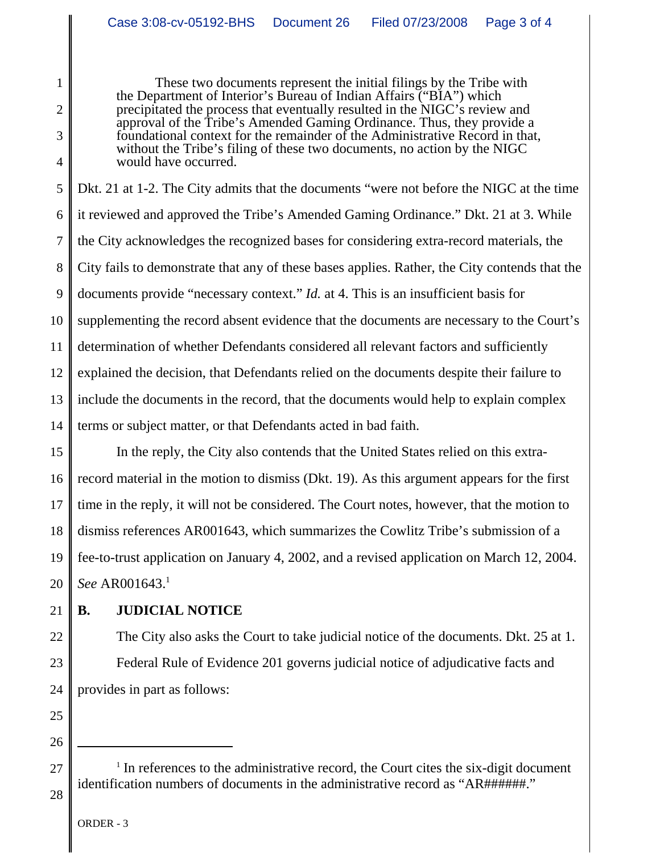These two documents represent the initial filings by the Tribe with the Department of Interior's Bureau of Indian Affairs ("BIA") which precipitated the process that eventually resulted in the NIGC's review and approval of the Tribe's Amended Gaming Ordinance. Thus, they provide a foundational context for the remainder of the Administrative Record in that, without the Tribe's filing of these two documents, no action by the NIGC would have occurred.

5 6 7 8 9 10 11 12 13 14 Dkt. 21 at 1-2. The City admits that the documents "were not before the NIGC at the time it reviewed and approved the Tribe's Amended Gaming Ordinance." Dkt. 21 at 3. While the City acknowledges the recognized bases for considering extra-record materials, the City fails to demonstrate that any of these bases applies. Rather, the City contends that the documents provide "necessary context." *Id.* at 4. This is an insufficient basis for supplementing the record absent evidence that the documents are necessary to the Court's determination of whether Defendants considered all relevant factors and sufficiently explained the decision, that Defendants relied on the documents despite their failure to include the documents in the record, that the documents would help to explain complex terms or subject matter, or that Defendants acted in bad faith.

15 16 17 18 19 20 In the reply, the City also contends that the United States relied on this extrarecord material in the motion to dismiss (Dkt. 19). As this argument appears for the first time in the reply, it will not be considered. The Court notes, however, that the motion to dismiss references AR001643, which summarizes the Cowlitz Tribe's submission of a fee-to-trust application on January 4, 2002, and a revised application on March 12, 2004. *See* AR001643.1

21

22

23

24

1

2

3

4

## **B. JUDICIAL NOTICE**

The City also asks the Court to take judicial notice of the documents. Dkt. 25 at 1. Federal Rule of Evidence 201 governs judicial notice of adjudicative facts and provides in part as follows:

25 26

28

27

 $1$  In references to the administrative record, the Court cites the six-digit document identification numbers of documents in the administrative record as "AR######."